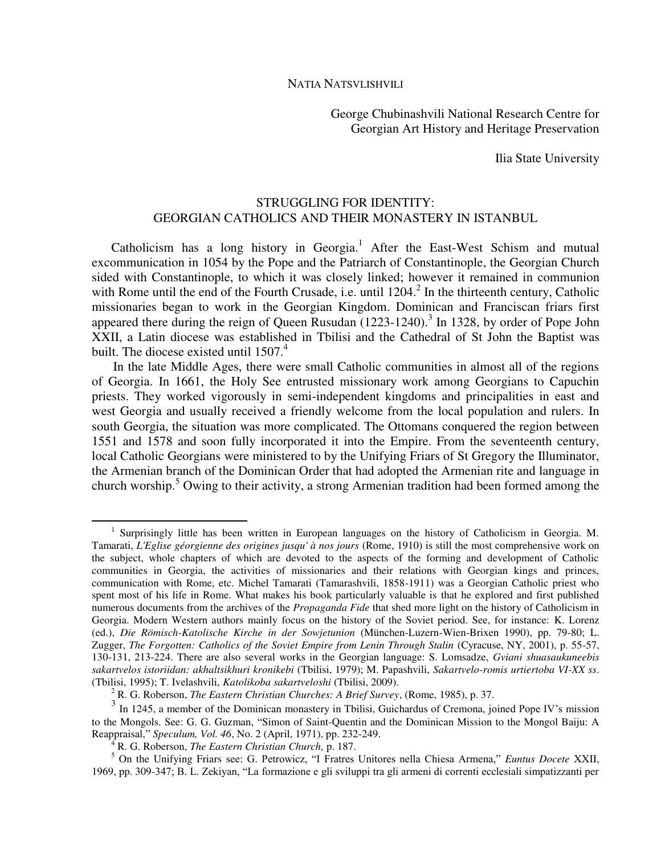George Chubinashvili National Research Centre for Georgian Art History and Heritage Preservation

Ilia State University

## STRUGGLING FOR IDENTITY: GEORGIAN CATHOLICS AND THEIR MONASTERY IN ISTANBUL

Catholicism has a long history in Georgia.<sup>1</sup> After the East-West Schism and mutual excommunication in 1054 by the Pope and the Patriarch of Constantinople, the Georgian Church sided with Constantinople, to which it was closely linked; however it remained in communion with Rome until the end of the Fourth Crusade, i.e. until 1204.<sup>2</sup> In the thirteenth century, Catholic missionaries began to work in the Georgian Kingdom. Dominican and Franciscan friars first appeared there during the reign of Queen Rusudan  $(1223-1240)$ .<sup>3</sup> In 1328, by order of Pope John XXII, a Latin diocese was established in Tbilisi and the Cathedral of St John the Baptist was built. The diocese existed until  $1507<sup>4</sup>$ 

In the late Middle Ages, there were small Catholic communities in almost all of the regions of Georgia. In 1661, the Holy See entrusted missionary work among Georgians to Capuchin priests. They worked vigorously in semi-independent kingdoms and principalities in east and west Georgia and usually received a friendly welcome from the local population and rulers. In south Georgia, the situation was more complicated. The Ottomans conquered the region between 1551 and 1578 and soon fully incorporated it into the Empire. From the seventeenth century, local Catholic Georgians were ministered to by the Unifying Friars of St Gregory the Illuminator, the Armenian branch of the Dominican Order that had adopted the Armenian rite and language in church worship.<sup>5</sup> Owing to their activity, a strong Armenian tradition had been formed among the

<sup>&</sup>lt;sup>1</sup> Surprisingly little has been written in European languages on the history of Catholicism in Georgia. M. Tamarati, *L'Eglise géorgienne des origines jusqu' à nos jours* (Rome, 1910) is still the most comprehensive work on the subject, whole chapters of which are devoted to the aspects of the forming and development of Catholic communities in Georgia, the activities of missionaries and their relations with Georgian kings and princes, communication with Rome, etc. Michel Tamarati (Tamarashvili, 1858-1911) was a Georgian Catholic priest who spent most of his life in Rome. What makes his book particularly valuable is that he explored and first published numerous documents from the archives of the *Propaganda Fide* that shed more light on the history of Catholicism in Georgia. Modern Western authors mainly focus on the history of the Soviet period. See, for instance: K. Lorenz (ed.), *Die Römisch-Katolische Kirche in der Sowjetunion* (München-Luzern-Wien-Brixen 1990), pp. 79-80; L. Zugger, *The Forgotten: Catholics of the Soviet Empire from Lenin Through Stalin* (Cyracuse, NY, 2001), p. 55-57, 130-131, 213-224. There are also several works in the Georgian language: S. Lomsadze, *Gviani shuasaukuneebis sakartvelos istoriidan: akhaltsikhuri kronikebi* (Tbilisi, 1979); M. Papashvili, *Sakartvelo-romis urtiertoba VI-XX ss*. (Tbilisi, 1995); T. Ivelashvili, *Katolikoba sakartveloshi* (Tbilisi, 2009).

<sup>2</sup> R. G. Roberson, *The Eastern Christian Churches: A Brief Survey*, (Rome, 1985), p. 37.

<sup>&</sup>lt;sup>3</sup> In 1245, a member of the Dominican monastery in Tbilisi, Guichardus of Cremona, joined Pope IV's mission to the Mongols. See: G. G. Guzman, "Simon of Saint-Quentin and the Dominican Mission to the Mongol Baiju: A Reappraisal," *Speculum, Vol. 46*, No. 2 (April, 1971), pp. 232-249.

<sup>4</sup> R. G. Roberson, *The Eastern Christian Church,* p. 187.

<sup>5</sup> On the Unifying Friars see: G. Petrowicz, "I Fratres Unitores nella Chiesa Armena," *Euntus Docete* XXII, 1969, pp. 309-347; B. L. Zekiyan, "La formazione e gli sviluppi tra gli armeni di correnti ecclesiali simpatizzanti per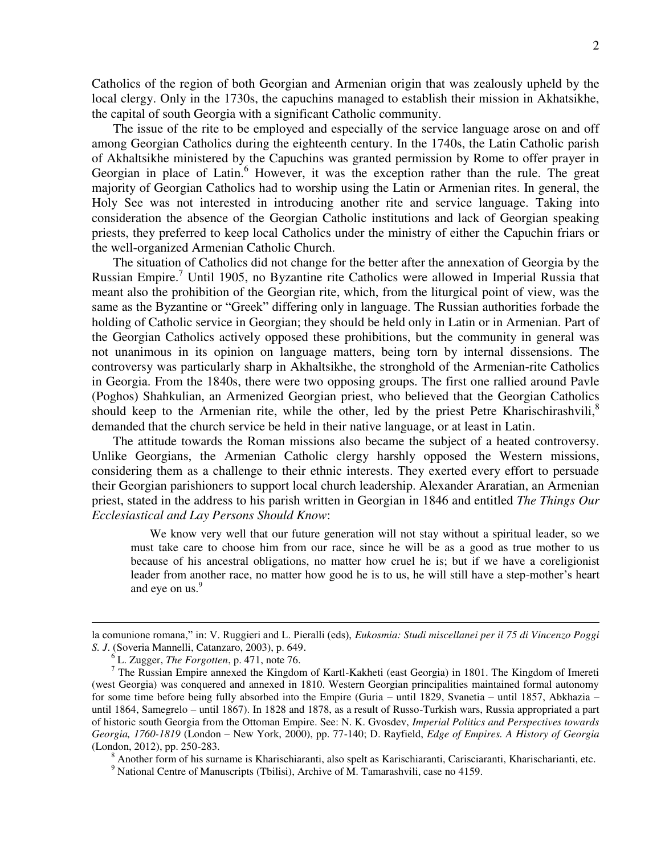Catholics of the region of both Georgian and Armenian origin that was zealously upheld by the local clergy. Only in the 1730s, the capuchins managed to establish their mission in Akhatsikhe, the capital of south Georgia with a significant Catholic community.

The issue of the rite to be employed and especially of the service language arose on and off among Georgian Catholics during the eighteenth century. In the 1740s, the Latin Catholic parish of Akhaltsikhe ministered by the Capuchins was granted permission by Rome to offer prayer in Georgian in place of Latin.<sup>6</sup> However, it was the exception rather than the rule. The great majority of Georgian Catholics had to worship using the Latin or Armenian rites. In general, the Holy See was not interested in introducing another rite and service language. Taking into consideration the absence of the Georgian Catholic institutions and lack of Georgian speaking priests, they preferred to keep local Catholics under the ministry of either the Capuchin friars or the well-organized Armenian Catholic Church.

The situation of Catholics did not change for the better after the annexation of Georgia by the Russian Empire.<sup>7</sup> Until 1905, no Byzantine rite Catholics were allowed in Imperial Russia that meant also the prohibition of the Georgian rite, which, from the liturgical point of view, was the same as the Byzantine or "Greek" differing only in language. The Russian authorities forbade the holding of Catholic service in Georgian; they should be held only in Latin or in Armenian. Part of the Georgian Catholics actively opposed these prohibitions, but the community in general was not unanimous in its opinion on language matters, being torn by internal dissensions. The controversy was particularly sharp in Akhaltsikhe, the stronghold of the Armenian-rite Catholics in Georgia. From the 1840s, there were two opposing groups. The first one rallied around Pavle (Poghos) Shahkulian, an Armenized Georgian priest, who believed that the Georgian Catholics should keep to the Armenian rite, while the other, led by the priest Petre Kharischirashvili, $\delta$ demanded that the church service be held in their native language, or at least in Latin.

The attitude towards the Roman missions also became the subject of a heated controversy. Unlike Georgians, the Armenian Catholic clergy harshly opposed the Western missions, considering them as a challenge to their ethnic interests. They exerted every effort to persuade their Georgian parishioners to support local church leadership. Alexander Araratian, an Armenian priest, stated in the address to his parish written in Georgian in 1846 and entitled *The Things Our Ecclesiastical and Lay Persons Should Know*:

We know very well that our future generation will not stay without a spiritual leader, so we must take care to choose him from our race, since he will be as a good as true mother to us because of his ancestral obligations, no matter how cruel he is; but if we have a coreligionist leader from another race, no matter how good he is to us, he will still have a step-mother's heart and eye on us.<sup>9</sup>

1

<sup>8</sup> Another form of his surname is Kharischiaranti, also spelt as Karischiaranti, Carisciaranti, Kharischarianti, etc.

<sup>9</sup> National Centre of Manuscripts (Tbilisi), Archive of M. Tamarashvili, case no 4159.

la comunione romana," in: V. Ruggieri and L. Pieralli (eds), *Eukosmia: Studi miscellanei per il 75 di Vincenzo Poggi S. J*. (Soveria Mannelli, Catanzaro, 2003), p. 649.

<sup>6</sup> L. Zugger, *The Forgotten*, p. 471, note 76.

<sup>&</sup>lt;sup>7</sup> The Russian Empire annexed the Kingdom of Kartl-Kakheti (east Georgia) in 1801. The Kingdom of Imereti (west Georgia) was conquered and annexed in 1810. Western Georgian principalities maintained formal autonomy for some time before being fully absorbed into the Empire (Guria – until 1829, Svanetia – until 1857, Abkhazia – until 1864, Samegrelo – until 1867). In 1828 and 1878, as a result of Russo-Turkish wars, Russia appropriated a part of historic south Georgia from the Ottoman Empire. See: N. K. Gvosdev, *Imperial Politics and Perspectives towards Georgia, 1760-1819* (London – New York, 2000), pp. 77-140; D. Rayfield, *Edge of Empires. A History of Georgia* (London, 2012), pp. 250-283.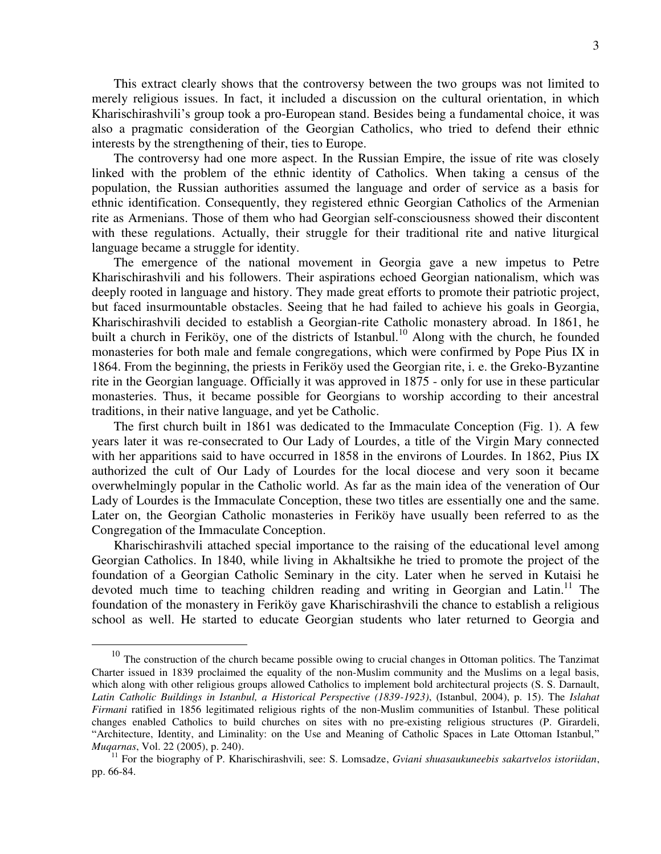This extract clearly shows that the controversy between the two groups was not limited to merely religious issues. In fact, it included a discussion on the cultural orientation, in which Kharischirashvili's group took a pro-European stand. Besides being a fundamental choice, it was also a pragmatic consideration of the Georgian Catholics, who tried to defend their ethnic interests by the strengthening of their, ties to Europe.

The controversy had one more aspect. In the Russian Empire, the issue of rite was closely linked with the problem of the ethnic identity of Catholics. When taking a census of the population, the Russian authorities assumed the language and order of service as a basis for ethnic identification. Consequently, they registered ethnic Georgian Catholics of the Armenian rite as Armenians. Those of them who had Georgian self-consciousness showed their discontent with these regulations. Actually, their struggle for their traditional rite and native liturgical language became a struggle for identity.

The emergence of the national movement in Georgia gave a new impetus to Petre Kharischirashvili and his followers. Their aspirations echoed Georgian nationalism, which was deeply rooted in language and history. They made great efforts to promote their patriotic project, but faced insurmountable obstacles. Seeing that he had failed to achieve his goals in Georgia, Kharischirashvili decided to establish a Georgian-rite Catholic monastery abroad. In 1861, he built a church in Feriköy, one of the districts of Istanbul.<sup>10</sup> Along with the church, he founded monasteries for both male and female congregations, which were confirmed by Pope Pius IX in 1864. From the beginning, the priests in Feriköy used the Georgian rite, i. e. the Greko-Byzantine rite in the Georgian language. Officially it was approved in 1875 - only for use in these particular monasteries. Thus, it became possible for Georgians to worship according to their ancestral traditions, in their native language, and yet be Catholic.

The first church built in 1861 was dedicated to the Immaculate Conception (Fig. 1). A few years later it was re-consecrated to Our Lady of Lourdes, a title of the Virgin Mary connected with her apparitions said to have occurred in 1858 in the environs of Lourdes. In 1862, Pius IX authorized the cult of Our Lady of Lourdes for the local diocese and very soon it became overwhelmingly popular in the Catholic world. As far as the main idea of the veneration of Our Lady of Lourdes is the Immaculate Conception, these two titles are essentially one and the same. Later on, the Georgian Catholic monasteries in Feriköy have usually been referred to as the Congregation of the Immaculate Conception.

Kharischirashvili attached special importance to the raising of the educational level among Georgian Catholics. In 1840, while living in Akhaltsikhe he tried to promote the project of the foundation of a Georgian Catholic Seminary in the city. Later when he served in Kutaisi he devoted much time to teaching children reading and writing in Georgian and Latin.<sup>11</sup> The foundation of the monastery in Feriköy gave Kharischirashvili the chance to establish a religious school as well. He started to educate Georgian students who later returned to Georgia and

<sup>&</sup>lt;sup>10</sup> The construction of the church became possible owing to crucial changes in Ottoman politics. The Tanzimat Charter issued in 1839 proclaimed the equality of the non-Muslim community and the Muslims on a legal basis, which along with other religious groups allowed Catholics to implement bold architectural projects (S. S. Darnault, *Latin Catholic Buildings in Istanbul, a Historical Perspective (1839-1923)*, (Istanbul, 2004), p. 15). The *Islahat Firmani* ratified in 1856 legitimated religious rights of the non-Muslim communities of Istanbul. These political changes enabled Catholics to build churches on sites with no pre-existing religious structures (P. Girardeli, "Architecture, Identity, and Liminality: on the Use and Meaning of Catholic Spaces in Late Ottoman Istanbul," *Muqarnas*, Vol. 22 (2005), p. 240).

<sup>11</sup> For the biography of P. Kharischirashvili, see: S. Lomsadze, *Gviani shuasaukuneebis sakartvelos istoriidan*, pp. 66-84.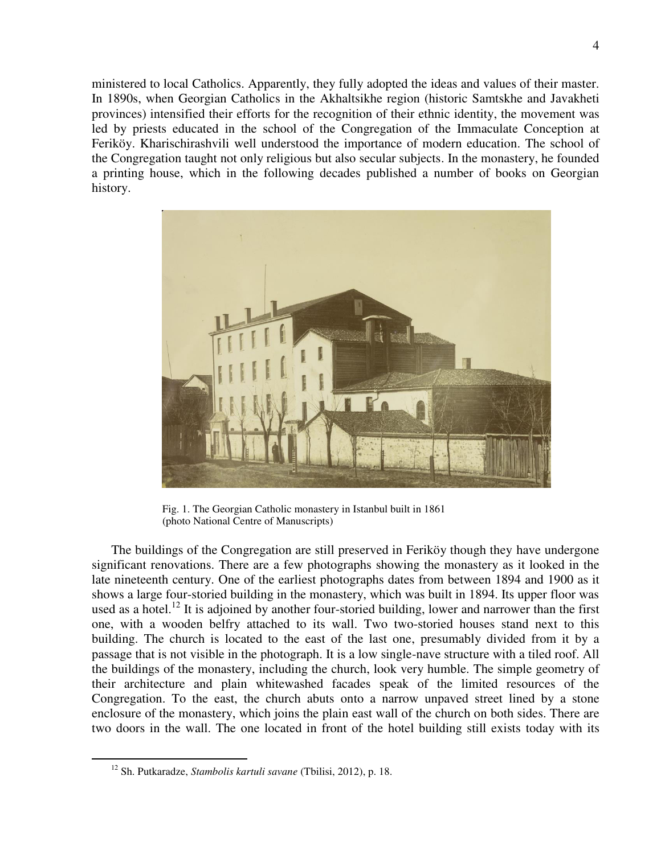ministered to local Catholics. Apparently, they fully adopted the ideas and values of their master. In 1890s, when Georgian Catholics in the Akhaltsikhe region (historic Samtskhe and Javakheti provinces) intensified their efforts for the recognition of their ethnic identity, the movement was led by priests educated in the school of the Congregation of the Immaculate Conception at Feriköy. Kharischirashvili well understood the importance of modern education. The school of the Congregation taught not only religious but also secular subjects. In the monastery, he founded a printing house, which in the following decades published a number of books on Georgian history.



 Fig. 1. The Georgian Catholic monastery in Istanbul built in 1861 (photo National Centre of Manuscripts)

The buildings of the Congregation are still preserved in Feriköy though they have undergone significant renovations. There are a few photographs showing the monastery as it looked in the late nineteenth century. One of the earliest photographs dates from between 1894 and 1900 as it shows a large four-storied building in the monastery, which was built in 1894. Its upper floor was used as a hotel.<sup>12</sup> It is adjoined by another four-storied building, lower and narrower than the first one, with a wooden belfry attached to its wall. Two two-storied houses stand next to this building. The church is located to the east of the last one, presumably divided from it by a passage that is not visible in the photograph. It is a low single-nave structure with a tiled roof. All the buildings of the monastery, including the church, look very humble. The simple geometry of their architecture and plain whitewashed facades speak of the limited resources of the Congregation. To the east, the church abuts onto a narrow unpaved street lined by a stone enclosure of the monastery, which joins the plain east wall of the church on both sides. There are two doors in the wall. The one located in front of the hotel building still exists today with its

<sup>12</sup> Sh. Putkaradze, *Stambolis kartuli savane* (Tbilisi, 2012), p. 18.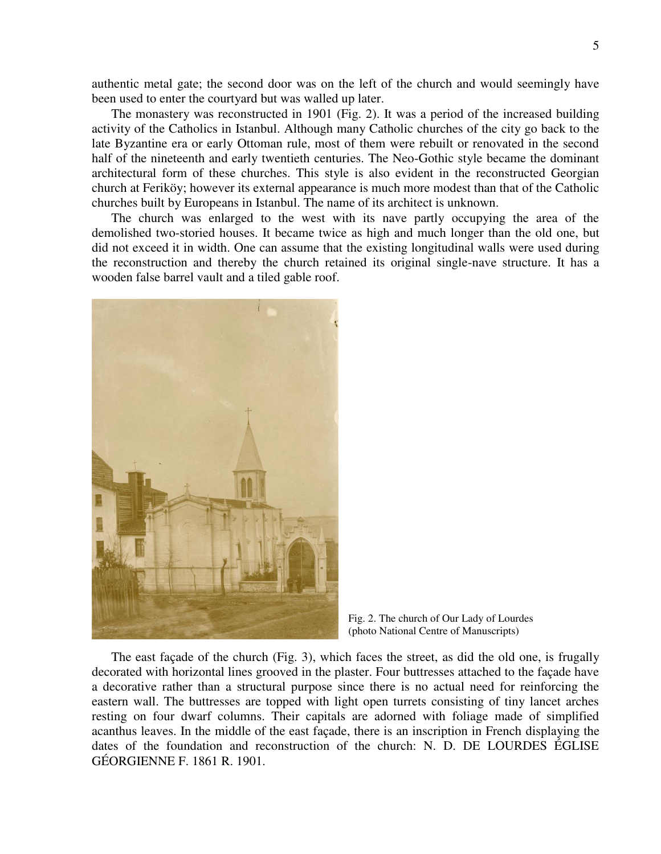authentic metal gate; the second door was on the left of the church and would seemingly have been used to enter the courtyard but was walled up later.

The monastery was reconstructed in 1901 (Fig. 2). It was a period of the increased building activity of the Catholics in Istanbul. Although many Catholic churches of the city go back to the late Byzantine era or early Ottoman rule, most of them were rebuilt or renovated in the second half of the nineteenth and early twentieth centuries. The Neo-Gothic style became the dominant architectural form of these churches. This style is also evident in the reconstructed Georgian church at Feriköy; however its external appearance is much more modest than that of the Catholic churches built by Europeans in Istanbul. The name of its architect is unknown.

The church was enlarged to the west with its nave partly occupying the area of the demolished two-storied houses. It became twice as high and much longer than the old one, but did not exceed it in width. One can assume that the existing longitudinal walls were used during the reconstruction and thereby the church retained its original single-nave structure. It has a wooden false barrel vault and a tiled gable roof.



Fig. 2. The church of Our Lady of Lourdes (photo National Centre of Manuscripts)

The east façade of the church (Fig. 3), which faces the street, as did the old one, is frugally decorated with horizontal lines grooved in the plaster. Four buttresses attached to the façade have a decorative rather than a structural purpose since there is no actual need for reinforcing the eastern wall. The buttresses are topped with light open turrets consisting of tiny lancet arches resting on four dwarf columns. Their capitals are adorned with foliage made of simplified acanthus leaves. In the middle of the east façade, there is an inscription in French displaying the dates of the foundation and reconstruction of the church: N. D. DE LOURDES ÉGLISE GÉORGIENNE F. 1861 R. 1901.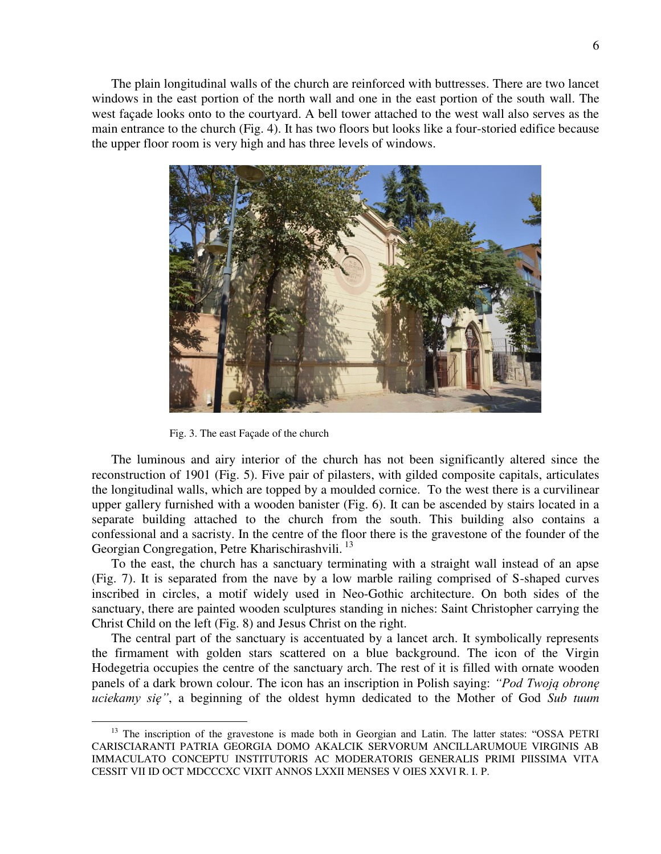The plain longitudinal walls of the church are reinforced with buttresses. There are two lancet windows in the east portion of the north wall and one in the east portion of the south wall. The west façade looks onto to the courtyard. A bell tower attached to the west wall also serves as the main entrance to the church (Fig. 4). It has two floors but looks like a four-storied edifice because the upper floor room is very high and has three levels of windows.



Fig. 3. The east Façade of the church

 $\overline{a}$ 

The luminous and airy interior of the church has not been significantly altered since the reconstruction of 1901 (Fig. 5). Five pair of pilasters, with gilded composite capitals, articulates the longitudinal walls, which are topped by a moulded cornice. To the west there is a curvilinear upper gallery furnished with a wooden banister (Fig. 6). It can be ascended by stairs located in a separate building attached to the church from the south. This building also contains a confessional and a sacristy. In the centre of the floor there is the gravestone of the founder of the Georgian Congregation, Petre Kharischirashvili.<sup>13</sup>

To the east, the church has a sanctuary terminating with a straight wall instead of an apse (Fig. 7). It is separated from the nave by a low marble railing comprised of S-shaped curves inscribed in circles, a motif widely used in Neo-Gothic architecture. On both sides of the sanctuary, there are painted wooden sculptures standing in niches: Saint Christopher carrying the Christ Child on the left (Fig. 8) and Jesus Christ on the right.

The central part of the sanctuary is accentuated by a lancet arch. It symbolically represents the firmament with golden stars scattered on a blue background. The icon of the Virgin Hodegetria occupies the centre of the sanctuary arch. The rest of it is filled with ornate wooden panels of a dark brown colour. The icon has an inscription in Polish saying: *"Pod Twoją obronę uciekamy się"*, a beginning of the oldest hymn dedicated to the Mother of God *Sub tuum* 

<sup>&</sup>lt;sup>13</sup> The inscription of the gravestone is made both in Georgian and Latin. The latter states: "OSSA PETRI CARISCIARANTI PATRIA GEORGIA DOMO AKALCIK SERVORUM ANCILLARUMOUE VIRGINIS AB IMMACULATO CONCEPTU INSTITUTORIS AC MODERATORIS GENERALIS PRIMI PIISSIMA VITA CESSIT VII ID OCT MDCCCXC VIXIT ANNOS LXXII MENSES V OIES XXVI R. I. P.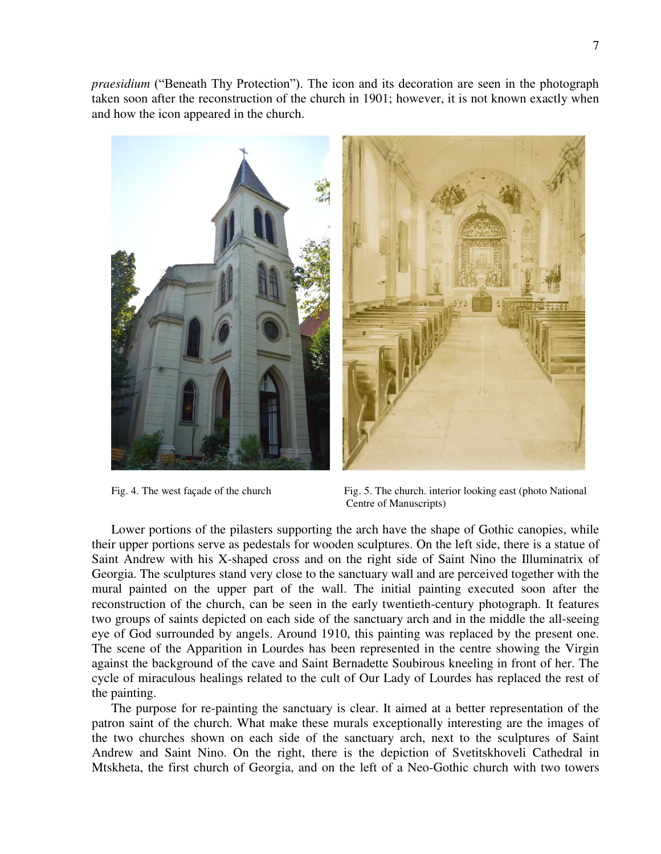*praesidium* ("Beneath Thy Protection"). The icon and its decoration are seen in the photograph taken soon after the reconstruction of the church in 1901; however, it is not known exactly when and how the icon appeared in the church.



Fig. 4. The west façade of the church Fig. 5. The church interior looking east (photo National Centre of Manuscripts)

Lower portions of the pilasters supporting the arch have the shape of Gothic canopies, while their upper portions serve as pedestals for wooden sculptures. On the left side, there is a statue of Saint Andrew with his X-shaped cross and on the right side of Saint Nino the Illuminatrix of Georgia. The sculptures stand very close to the sanctuary wall and are perceived together with the mural painted on the upper part of the wall. The initial painting executed soon after the reconstruction of the church, can be seen in the early twentieth-century photograph. It features two groups of saints depicted on each side of the sanctuary arch and in the middle the all-seeing eye of God surrounded by angels. Around 1910, this painting was replaced by the present one. The scene of the Apparition in Lourdes has been represented in the centre showing the Virgin against the background of the cave and Saint Bernadette Soubirous kneeling in front of her. The cycle of miraculous healings related to the cult of Our Lady of Lourdes has replaced the rest of the painting.

The purpose for re-painting the sanctuary is clear. It aimed at a better representation of the patron saint of the church. What make these murals exceptionally interesting are the images of the two churches shown on each side of the sanctuary arch, next to the sculptures of Saint Andrew and Saint Nino. On the right, there is the depiction of Svetitskhoveli Cathedral in Mtskheta, the first church of Georgia, and on the left of a Neo-Gothic church with two towers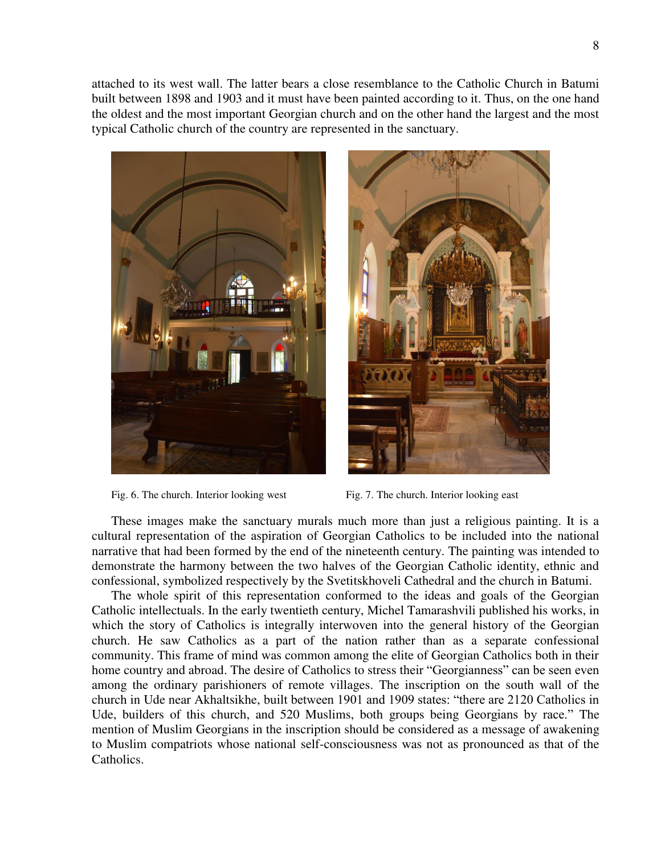attached to its west wall. The latter bears a close resemblance to the Catholic Church in Batumi built between 1898 and 1903 and it must have been painted according to it. Thus, on the one hand the oldest and the most important Georgian church and on the other hand the largest and the most typical Catholic church of the country are represented in the sanctuary.



Fig. 6. The church. Interior looking west Fig. 7. The church. Interior looking east



These images make the sanctuary murals much more than just a religious painting. It is a cultural representation of the aspiration of Georgian Catholics to be included into the national narrative that had been formed by the end of the nineteenth century. The painting was intended to demonstrate the harmony between the two halves of the Georgian Catholic identity, ethnic and confessional, symbolized respectively by the Svetitskhoveli Cathedral and the church in Batumi.

The whole spirit of this representation conformed to the ideas and goals of the Georgian Catholic intellectuals. In the early twentieth century, Michel Tamarashvili published his works, in which the story of Catholics is integrally interwoven into the general history of the Georgian church. He saw Catholics as a part of the nation rather than as a separate confessional community. This frame of mind was common among the elite of Georgian Catholics both in their home country and abroad. The desire of Catholics to stress their "Georgianness" can be seen even among the ordinary parishioners of remote villages. The inscription on the south wall of the church in Ude near Akhaltsikhe, built between 1901 and 1909 states: "there are 2120 Catholics in Ude, builders of this church, and 520 Muslims, both groups being Georgians by race." The mention of Muslim Georgians in the inscription should be considered as a message of awakening to Muslim compatriots whose national self-consciousness was not as pronounced as that of the Catholics.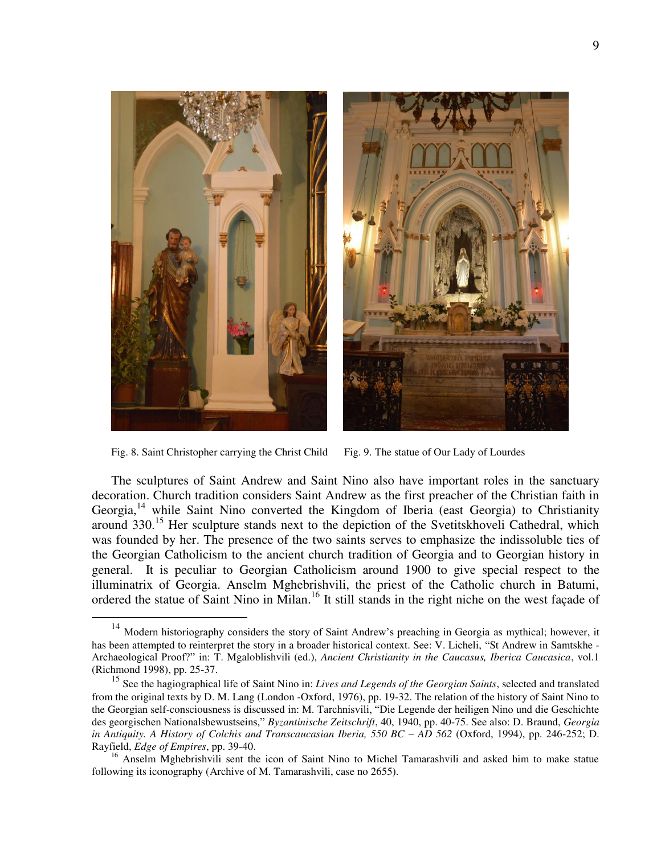

Fig. 8. Saint Christopher carrying the Christ Child Fig. 9. The statue of Our Lady of Lourdes

 $\overline{a}$ 

The sculptures of Saint Andrew and Saint Nino also have important roles in the sanctuary decoration. Church tradition considers Saint Andrew as the first preacher of the Christian faith in Georgia, <sup>14</sup> while Saint Nino converted the Kingdom of Iberia (east Georgia) to Christianity around 330.<sup>15</sup> Her sculpture stands next to the depiction of the Svetitskhoveli Cathedral, which was founded by her. The presence of the two saints serves to emphasize the indissoluble ties of the Georgian Catholicism to the ancient church tradition of Georgia and to Georgian history in general. It is peculiar to Georgian Catholicism around 1900 to give special respect to the illuminatrix of Georgia. Anselm Mghebrishvili, the priest of the Catholic church in Batumi, ordered the statue of Saint Nino in Milan.<sup>16</sup> It still stands in the right niche on the west façade of

<sup>14</sup> Modern historiography considers the story of Saint Andrew's preaching in Georgia as mythical; however, it has been attempted to reinterpret the story in a broader historical context. See: V. Licheli, "St Andrew in Samtskhe - Archaeological Proof?" in: T. Mgaloblishvili (ed.), *Ancient Christianity in the Caucasus, Iberica Caucasica*, vol.1 (Richmond 1998), pp. 25-37.

<sup>15</sup> See the hagiographical life of Saint Nino in: *Lives and Legends of the Georgian Saints*, selected and translated from the original texts by D. M. Lang (London -Oxford, 1976), pp. 19-32. The relation of the history of Saint Nino to the Georgian self-consciousness is discussed in: M. Tarchnisvili, "Die Legende der heiligen Nino und die Geschichte des georgischen Nationalsbewustseins," *Byzantinische Zeitschrift*, 40, 1940, pp. 40-75. See also: D. Braund, *Georgia in Antiquity. A History of Colchis and Transcaucasian Iberia, 550 BC – AD 562 (Oxford, 1994), pp. 246-252; D.* Rayfield, *Edge of Empires*, pp. 39-40.

<sup>&</sup>lt;sup>16</sup> Anselm Mghebrishvili sent the icon of Saint Nino to Michel Tamarashvili and asked him to make statue following its iconography (Archive of M. Tamarashvili, case no 2655).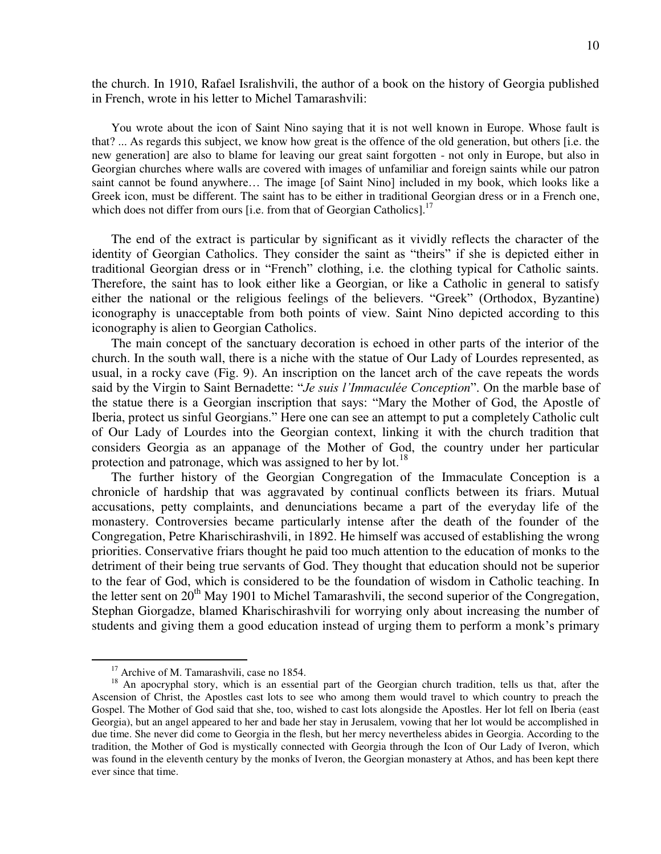the church. In 1910, Rafael Isralishvili, the author of a book on the history of Georgia published in French, wrote in his letter to Michel Tamarashvili:

You wrote about the icon of Saint Nino saying that it is not well known in Europe. Whose fault is that? ... As regards this subject, we know how great is the offence of the old generation, but others [i.e. the new generation] are also to blame for leaving our great saint forgotten - not only in Europe, but also in Georgian churches where walls are covered with images of unfamiliar and foreign saints while our patron saint cannot be found anywhere... The image [of Saint Nino] included in my book, which looks like a Greek icon, must be different. The saint has to be either in traditional Georgian dress or in a French one, which does not differ from ours [i.e. from that of Georgian Catholics].<sup>17</sup>

The end of the extract is particular by significant as it vividly reflects the character of the identity of Georgian Catholics. They consider the saint as "theirs" if she is depicted either in traditional Georgian dress or in "French" clothing, i.e. the clothing typical for Catholic saints. Therefore, the saint has to look either like a Georgian, or like a Catholic in general to satisfy either the national or the religious feelings of the believers. "Greek" (Orthodox, Byzantine) iconography is unacceptable from both points of view. Saint Nino depicted according to this iconography is alien to Georgian Catholics.

The main concept of the sanctuary decoration is echoed in other parts of the interior of the church. In the south wall, there is a niche with the statue of Our Lady of Lourdes represented, as usual, in a rocky cave (Fig. 9). An inscription on the lancet arch of the cave repeats the words said by the Virgin to Saint Bernadette: "*Je suis l'Immaculée Conception*". On the marble base of the statue there is a Georgian inscription that says: "Mary the Mother of God, the Apostle of Iberia, protect us sinful Georgians." Here one can see an attempt to put a completely Catholic cult of Our Lady of Lourdes into the Georgian context, linking it with the church tradition that considers Georgia as an appanage of the Mother of God, the country under her particular protection and patronage, which was assigned to her by lot.<sup>18</sup>

The further history of the Georgian Congregation of the Immaculate Conception is a chronicle of hardship that was aggravated by continual conflicts between its friars. Mutual accusations, petty complaints, and denunciations became a part of the everyday life of the monastery. Controversies became particularly intense after the death of the founder of the Congregation, Petre Kharischirashvili, in 1892. He himself was accused of establishing the wrong priorities. Conservative friars thought he paid too much attention to the education of monks to the detriment of their being true servants of God. They thought that education should not be superior to the fear of God, which is considered to be the foundation of wisdom in Catholic teaching. In the letter sent on 20<sup>th</sup> May 1901 to Michel Tamarashvili, the second superior of the Congregation, Stephan Giorgadze, blamed Kharischirashvili for worrying only about increasing the number of students and giving them a good education instead of urging them to perform a monk's primary

<sup>&</sup>lt;sup>17</sup> Archive of M. Tamarashvili, case no 1854.

<sup>&</sup>lt;sup>18</sup> An apocryphal story, which is an essential part of the Georgian church tradition, tells us that, after the Ascension of Christ, the Apostles cast lots to see who among them would travel to which country to preach the Gospel. The Mother of God said that she, too, wished to cast lots alongside the Apostles. Her lot fell on Iberia (east Georgia), but an angel appeared to her and bade her stay in Jerusalem, vowing that her lot would be accomplished in due time. She never did come to Georgia in the flesh, but her mercy nevertheless abides in Georgia. According to the tradition, the Mother of God is mystically connected with Georgia through the Icon of Our Lady of Iveron, which was found in the eleventh century by the monks of Iveron, the Georgian monastery at Athos, and has been kept there ever since that time.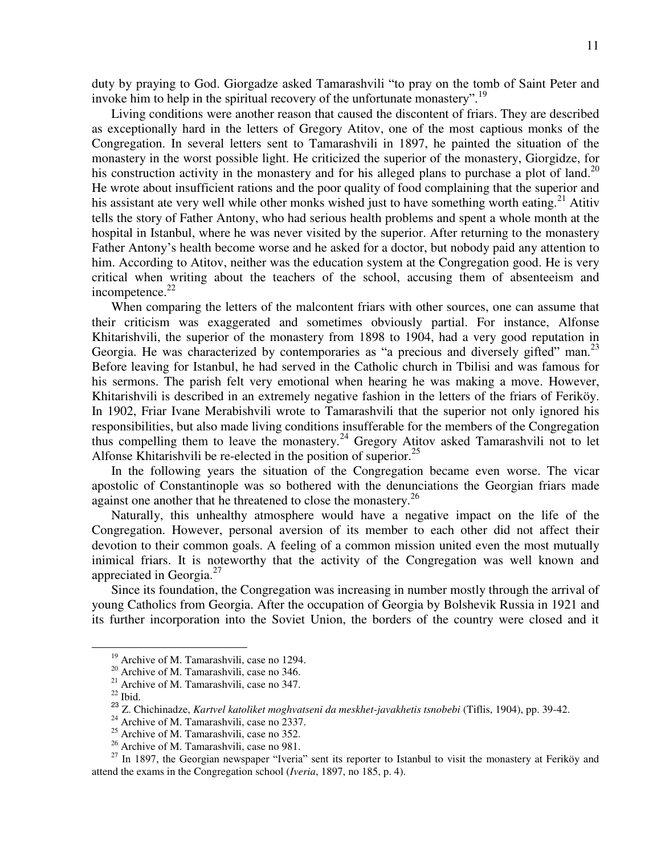duty by praying to God. Giorgadze asked Tamarashvili "to pray on the tomb of Saint Peter and invoke him to help in the spiritual recovery of the unfortunate monastery".<sup>19</sup>

Living conditions were another reason that caused the discontent of friars. They are described as exceptionally hard in the letters of Gregory Atitov, one of the most captious monks of the Congregation. In several letters sent to Tamarashvili in 1897, he painted the situation of the monastery in the worst possible light. He criticized the superior of the monastery, Giorgidze, for his construction activity in the monastery and for his alleged plans to purchase a plot of land.<sup>20</sup> He wrote about insufficient rations and the poor quality of food complaining that the superior and his assistant ate very well while other monks wished just to have something worth eating.<sup>21</sup> Atitiv tells the story of Father Antony, who had serious health problems and spent a whole month at the hospital in Istanbul, where he was never visited by the superior. After returning to the monastery Father Antony's health become worse and he asked for a doctor, but nobody paid any attention to him. According to Atitov, neither was the education system at the Congregation good. He is very critical when writing about the teachers of the school, accusing them of absenteeism and incompetence.<sup>22</sup>

When comparing the letters of the malcontent friars with other sources, one can assume that their criticism was exaggerated and sometimes obviously partial. For instance, Alfonse Khitarishvili, the superior of the monastery from 1898 to 1904, had a very good reputation in Georgia. He was characterized by contemporaries as "a precious and diversely gifted" man.<sup>23</sup> Before leaving for Istanbul, he had served in the Catholic church in Tbilisi and was famous for his sermons. The parish felt very emotional when hearing he was making a move. However, Khitarishvili is described in an extremely negative fashion in the letters of the friars of Feriköy. In 1902, Friar Ivane Merabishvili wrote to Tamarashvili that the superior not only ignored his responsibilities, but also made living conditions insufferable for the members of the Congregation thus compelling them to leave the monastery.<sup>24</sup> Gregory Atitov asked Tamarashvili not to let Alfonse Khitarishvili be re-elected in the position of superior.<sup>25</sup>

In the following years the situation of the Congregation became even worse. The vicar apostolic of Constantinople was so bothered with the denunciations the Georgian friars made against one another that he threatened to close the monastery.<sup>26</sup>

Naturally, this unhealthy atmosphere would have a negative impact on the life of the Congregation. However, personal aversion of its member to each other did not affect their devotion to their common goals. A feeling of a common mission united even the most mutually inimical friars. It is noteworthy that the activity of the Congregation was well known and appreciated in Georgia.<sup>27</sup>

Since its foundation, the Congregation was increasing in number mostly through the arrival of young Catholics from Georgia. After the occupation of Georgia by Bolshevik Russia in 1921 and its further incorporation into the Soviet Union, the borders of the country were closed and it

<sup>&</sup>lt;sup>19</sup> Archive of M. Tamarashvili, case no 1294.

<sup>&</sup>lt;sup>20</sup> Archive of M. Tamarashvili, case no 346.

<sup>&</sup>lt;sup>21</sup> Archive of M. Tamarashvili, case no 347.

 $^{22}$  Ibid.

<sup>23</sup> Z. Chichinadze, *Kartvel katoliket moghvatseni da meskhet-javakhetis tsnobebi* (Tiflis, 1904), pp. 39-42.

<sup>&</sup>lt;sup>24</sup> Archive of M. Tamarashvili, case no 2337.

<sup>&</sup>lt;sup>25</sup> Archive of M. Tamarashvili, case no 352.

<sup>&</sup>lt;sup>26</sup> Archive of M. Tamarashvili, case no 981.

 $27$  In 1897, the Georgian newspaper "Iveria" sent its reporter to Istanbul to visit the monastery at Feriköy and attend the exams in the Congregation school (*Iveria*, 1897, no 185, p. 4).